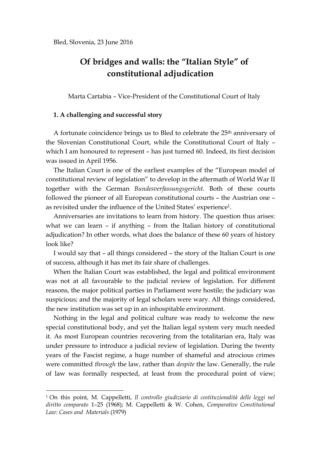# **Of bridges and walls: the "Italian Style" of constitutional adjudication**

Marta Cartabia – Vice-President of the Constitutional Court of Italy

### **1. A challenging and successful story**

1

A fortunate coincidence brings us to Bled to celebrate the 25<sup>th</sup> anniversary of the Slovenian Constitutional Court, while the Constitutional Court of Italy – which I am honoured to represent – has just turned 60. Indeed, its first decision was issued in April 1956.

The Italian Court is one of the earliest examples of the "European model of constitutional review of legislation" to develop in the aftermath of World War II together with the German *Bundesverfassungsgericht*. Both of these courts followed the pioneer of all European constitutional courts – the Austrian one – as revisited under the influence of the United States' experience1.

Anniversaries are invitations to learn from history. The question thus arises: what we can learn – if anything – from the Italian history of constitutional adjudication? In other words, what does the balance of these 60 years of history look like?

I would say that – all things considered – the story of the Italian Court is one of success, although it has met its fair share of challenges.

When the Italian Court was established, the legal and political environment was not at all favourable to the judicial review of legislation. For different reasons, the major political parties in Parliament were hostile; the judiciary was suspicious; and the majority of legal scholars were wary. All things considered, the new institution was set up in an inhospitable environment.

Nothing in the legal and political culture was ready to welcome the new special constitutional body, and yet the Italian legal system very much needed it. As most European countries recovering from the totalitarian era, Italy was under pressure to introduce a judicial review of legislation. During the twenty years of the Fascist regime, a huge number of shameful and atrocious crimes were committed *through* the law, rather than *despite* the law. Generally, the rule of law was formally respected, at least from the procedural point of view;

<sup>1</sup> On this point, M. Cappelletti, *Il controllo giudiziario di costituzionalità delle leggi nel diritto comparato* 1–25 (1968); M. Cappelletti & W. Cohen, *Comparative Constitutional Law: Cases and Materials* (1979)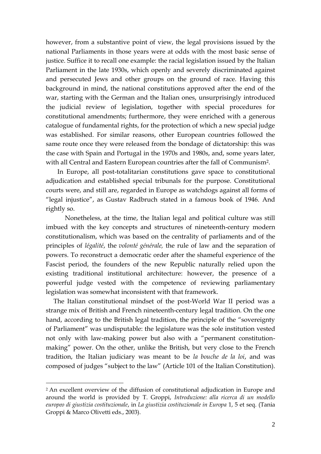however, from a substantive point of view, the legal provisions issued by the national Parliaments in those years were at odds with the most basic sense of justice. Suffice it to recall one example: the racial legislation issued by the Italian Parliament in the late 1930s, which openly and severely discriminated against and persecuted Jews and other groups on the ground of race. Having this background in mind, the national constitutions approved after the end of the war, starting with the German and the Italian ones, unsurprisingly introduced the judicial review of legislation, together with special procedures for constitutional amendments; furthermore, they were enriched with a generous catalogue of fundamental rights, for the protection of which a new special judge was established. For similar reasons, other European countries followed the same route once they were released from the bondage of dictatorship: this was the case with Spain and Portugal in the 1970s and 1980s, and, some years later, with all Central and Eastern European countries after the fall of Communism2.

In Europe, all post-totalitarian constitutions gave space to constitutional adjudication and established special tribunals for the purpose. Constitutional courts were, and still are, regarded in Europe as watchdogs against all forms of "legal injustice", as Gustav Radbruch stated in a famous book of 1946. And rightly so.

Nonetheless, at the time, the Italian legal and political culture was still imbued with the key concepts and structures of nineteenth-century modern constitutionalism, which was based on the centrality of parliaments and of the principles of *légalité*, the *volonté générale,* the rule of law and the separation of powers. To reconstruct a democratic order after the shameful experience of the Fascist period, the founders of the new Republic naturally relied upon the existing traditional institutional architecture: however, the presence of a powerful judge vested with the competence of reviewing parliamentary legislation was somewhat inconsistent with that framework.

The Italian constitutional mindset of the post-World War II period was a strange mix of British and French nineteenth-century legal tradition. On the one hand, according to the British legal tradition, the principle of the "sovereignty of Parliament" was undisputable: the legislature was the sole institution vested not only with law-making power but also with a "permanent constitutionmaking" power. On the other, unlike the British, but very close to the French tradition, the Italian judiciary was meant to be *la bouche de la loi*, and was composed of judges "subject to the law" (Article 101 of the Italian Constitution).

<sup>2</sup> An excellent overview of the diffusion of constitutional adjudication in Europe and around the world is provided by T. Groppi, *Introduzione: alla ricerca di un modello europeo di giustizia costituzionale*, in *La giustizia costituzionale in Europa* 1, 5 et seq. (Tania Groppi & Marco Olivetti eds., 2003).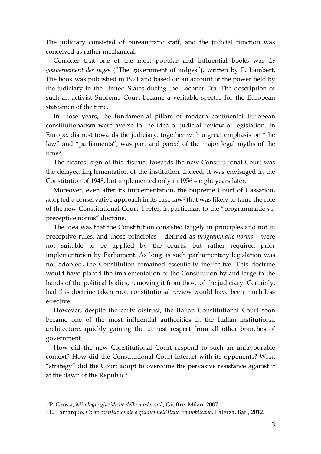The judiciary consisted of bureaucratic staff, and the judicial function was conceived as rather mechanical.

Consider that one of the most popular and influential books was *Le gouvernement des juges* ("The government of judges"), written by E. Lambert. The book was published in 1921 and based on an account of the power held by the judiciary in the United States during the Lochner Era. The description of such an activist Supreme Court became a veritable spectre for the European statesmen of the time.

In those years, the fundamental pillars of modern continental European constitutionalism were averse to the idea of judicial review of legislation. In Europe, distrust towards the judiciary, together with a great emphasis on "the law" and "parliaments", was part and parcel of the major legal myths of the time3.

The clearest sign of this distrust towards the new Constitutional Court was the delayed implementation of the institution. Indeed, it was envisaged in the Constitution of 1948, but implemented only in 1956 – eight years later.

Moreover, even after its implementation, the Supreme Court of Cassation, adopted a conservative approach in its case law<sup>4</sup> that was likely to tame the role of the new Constitutional Court. I refer, in particular, to the "programmatic vs. preceptive norms" doctrine.

The idea was that the Constitution consisted largely in principles and not in preceptive rules, and those principles – defined as *programmatic norms –* were not suitable to be applied by the courts, but rather required prior implementation by Parliament. As long as such parliamentary legislation was not adopted, the Constitution remained essentially ineffective. This doctrine would have placed the implementation of the Constitution by and large in the hands of the political bodies, removing it from those of the judiciary. Certainly, had this doctrine taken root, constitutional review would have been much less effective.

However, despite the early distrust, the Italian Constitutional Court soon became one of the most influential authorities in the Italian institutional architecture, quickly gaining the utmost respect from all other branches of government.

How did the new Constitutional Court respond to such an unfavourable context? How did the Constitutional Court interact with its opponents? What "strategy" did the Court adopt to overcome the pervasive resistance against it at the dawn of the Republic?

<sup>3</sup> P. Grossi, *Mitologie giuridiche della modernità*, Giuffrè, Milan, 2007.

<sup>4</sup> E. Lamarque, *Corte costituzionale e giudici nell'Italia repubblicana,* Laterza, Bari, 2012.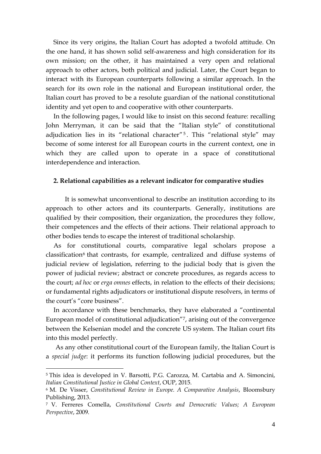Since its very origins, the Italian Court has adopted a twofold attitude. On the one hand, it has shown solid self-awareness and high consideration for its own mission; on the other, it has maintained a very open and relational approach to other actors, both political and judicial. Later, the Court began to interact with its European counterparts following a similar approach. In the search for its own role in the national and European institutional order, the Italian court has proved to be a resolute guardian of the national constitutional identity and yet open to and cooperative with other counterparts.

In the following pages, I would like to insist on this second feature: recalling John Merryman, it can be said that the "Italian style" of constitutional adjudication lies in its "relational character" 5 . This "relational style" may become of some interest for all European courts in the current context, one in which they are called upon to operate in a space of constitutional interdependence and interaction.

#### **2. Relational capabilities as a relevant indicator for comparative studies**

It is somewhat unconventional to describe an institution according to its approach to other actors and its counterparts. Generally, institutions are qualified by their composition, their organization, the procedures they follow, their competences and the effects of their actions. Their relational approach to other bodies tends to escape the interest of traditional scholarship.

As for constitutional courts, comparative legal scholars propose a  $classification<sup>6</sup>$  that contrasts, for example, centralized and diffuse systems of judicial review of legislation, referring to the judicial body that is given the power of judicial review; abstract or concrete procedures, as regards access to the court; *ad hoc* or *erga omnes* effects, in relation to the effects of their decisions; or fundamental rights adjudicators or institutional dispute resolvers, in terms of the court's "core business".

In accordance with these benchmarks, they have elaborated a "continental European model of constitutional adjudication"7, arising out of the convergence between the Kelsenian model and the concrete US system. The Italian court fits into this model perfectly.

As any other constitutional court of the European family, the Italian Court is a *special judge*: it performs its function following judicial procedures, but the

<sup>5</sup> This idea is developed in V. Barsotti, P.G. Carozza, M. Cartabia and A. Simoncini, *Italian Constitutional Justice in Global Context*, OUP, 2015.

<sup>6</sup> M. De Visser, *Constitutional Review in Europe. A Comparative Analysis*, Bloomsbury Publishing, 2013.

<sup>7</sup> V. Ferreres Comella, *Constitutional Courts and Democratic Values; A European Perspective*, 2009.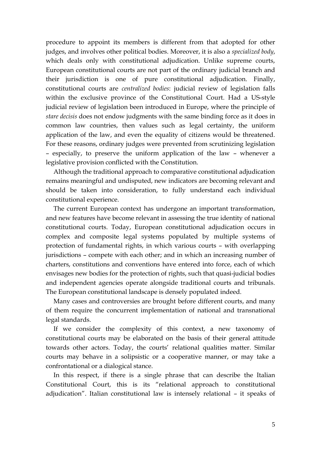procedure to appoint its members is different from that adopted for other judges, and involves other political bodies. Moreover, it is also a *specialized body*, which deals only with constitutional adjudication. Unlike supreme courts, European constitutional courts are not part of the ordinary judicial branch and their jurisdiction is one of pure constitutional adjudication. Finally, constitutional courts are *centralized bodies*: judicial review of legislation falls within the exclusive province of the Constitutional Court. Had a US-style judicial review of legislation been introduced in Europe, where the principle of *stare decisis* does not endow judgments with the same binding force as it does in common law countries, then values such as legal certainty, the uniform application of the law, and even the equality of citizens would be threatened. For these reasons, ordinary judges were prevented from scrutinizing legislation – especially, to preserve the uniform application of the law – whenever a legislative provision conflicted with the Constitution.

Although the traditional approach to comparative constitutional adjudication remains meaningful and undisputed, new indicators are becoming relevant and should be taken into consideration, to fully understand each individual constitutional experience.

The current European context has undergone an important transformation, and new features have become relevant in assessing the true identity of national constitutional courts. Today, European constitutional adjudication occurs in complex and composite legal systems populated by multiple systems of protection of fundamental rights, in which various courts – with overlapping jurisdictions – compete with each other; and in which an increasing number of charters, constitutions and conventions have entered into force, each of which envisages new bodies for the protection of rights, such that quasi-judicial bodies and independent agencies operate alongside traditional courts and tribunals. The European constitutional landscape is densely populated indeed.

Many cases and controversies are brought before different courts, and many of them require the concurrent implementation of national and transnational legal standards.

If we consider the complexity of this context, a new taxonomy of constitutional courts may be elaborated on the basis of their general attitude towards other actors. Today, the courts' relational qualities matter. Similar courts may behave in a solipsistic or a cooperative manner, or may take a confrontational or a dialogical stance.

In this respect, if there is a single phrase that can describe the Italian Constitutional Court, this is its "relational approach to constitutional adjudication". Italian constitutional law is intensely relational – it speaks of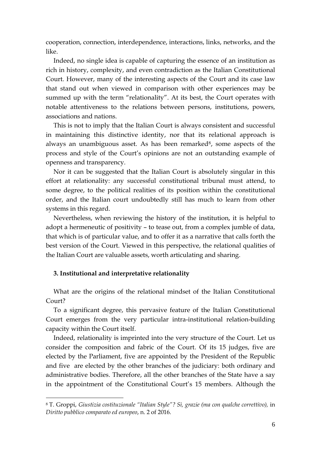cooperation, connection, interdependence, interactions, links, networks, and the like.

Indeed, no single idea is capable of capturing the essence of an institution as rich in history, complexity, and even contradiction as the Italian Constitutional Court. However, many of the interesting aspects of the Court and its case law that stand out when viewed in comparison with other experiences may be summed up with the term "relationality". At its best, the Court operates with notable attentiveness to the relations between persons, institutions, powers, associations and nations.

This is not to imply that the Italian Court is always consistent and successful in maintaining this distinctive identity, nor that its relational approach is always an unambiguous asset. As has been remarked<sup>8</sup>, some aspects of the process and style of the Court's opinions are not an outstanding example of openness and transparency.

Nor it can be suggested that the Italian Court is absolutely singular in this effort at relationality: any successful constitutional tribunal must attend, to some degree, to the political realities of its position within the constitutional order, and the Italian court undoubtedly still has much to learn from other systems in this regard.

Nevertheless, when reviewing the history of the institution, it is helpful to adopt a hermeneutic of positivity – to tease out, from a complex jumble of data, that which is of particular value, and to offer it as a narrative that calls forth the best version of the Court. Viewed in this perspective, the relational qualities of the Italian Court are valuable assets, worth articulating and sharing.

## **3. Institutional and interpretative relationality**

1

What are the origins of the relational mindset of the Italian Constitutional Court?

To a significant degree, this pervasive feature of the Italian Constitutional Court emerges from the very particular intra-institutional relation-building capacity within the Court itself.

Indeed, relationality is imprinted into the very structure of the Court. Let us consider the composition and fabric of the Court. Of its 15 judges, five are elected by the Parliament, five are appointed by the President of the Republic and five are elected by the other branches of the judiciary: both ordinary and administrative bodies. Therefore, all the other branches of the State have a say in the appointment of the Constitutional Court's 15 members. Although the

<sup>8</sup> T. Groppi, *Giustizia costituzionale "Italian Style"? Sì, grazie (ma con qualche correttivo),* in *Diritto pubblico comparato ed europeo*, n. 2 of 2016.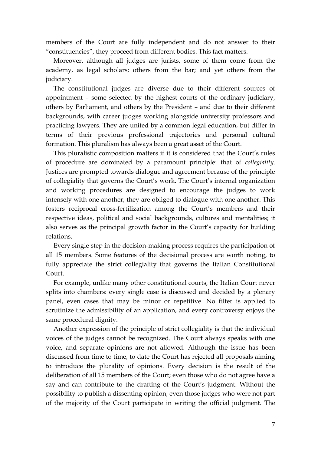members of the Court are fully independent and do not answer to their "constituencies", they proceed from different bodies. This fact matters.

Moreover, although all judges are jurists, some of them come from the academy, as legal scholars; others from the bar; and yet others from the judiciary.

The constitutional judges are diverse due to their different sources of appointment – some selected by the highest courts of the ordinary judiciary, others by Parliament, and others by the President – and due to their different backgrounds, with career judges working alongside university professors and practicing lawyers. They are united by a common legal education, but differ in terms of their previous professional trajectories and personal cultural formation. This pluralism has always been a great asset of the Court.

This pluralistic composition matters if it is considered that the Court's rules of procedure are dominated by a paramount principle: that of *collegiality*. Justices are prompted towards dialogue and agreement because of the principle of collegiality that governs the Court's work. The Court's internal organization and working procedures are designed to encourage the judges to work intensely with one another; they are obliged to dialogue with one another. This fosters reciprocal cross-fertilization among the Court's members and their respective ideas, political and social backgrounds, cultures and mentalities; it also serves as the principal growth factor in the Court's capacity for building relations.

Every single step in the decision-making process requires the participation of all 15 members. Some features of the decisional process are worth noting, to fully appreciate the strict collegiality that governs the Italian Constitutional Court.

For example, unlike many other constitutional courts, the Italian Court never splits into chambers: every single case is discussed and decided by a plenary panel, even cases that may be minor or repetitive. No filter is applied to scrutinize the admissibility of an application, and every controversy enjoys the same procedural dignity.

Another expression of the principle of strict collegiality is that the individual voices of the judges cannot be recognized. The Court always speaks with one voice, and separate opinions are not allowed. Although the issue has been discussed from time to time, to date the Court has rejected all proposals aiming to introduce the plurality of opinions. Every decision is the result of the deliberation of all 15 members of the Court; even those who do not agree have a say and can contribute to the drafting of the Court's judgment. Without the possibility to publish a dissenting opinion, even those judges who were not part of the majority of the Court participate in writing the official judgment. The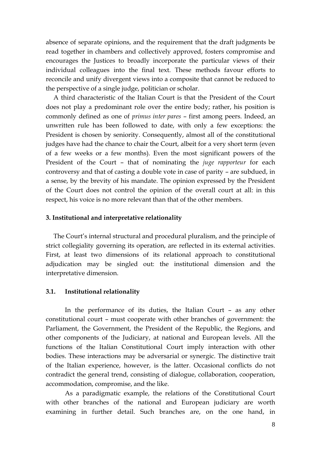absence of separate opinions, and the requirement that the draft judgments be read together in chambers and collectively approved, fosters compromise and encourages the Justices to broadly incorporate the particular views of their individual colleagues into the final text. These methods favour efforts to reconcile and unify divergent views into a composite that cannot be reduced to the perspective of a single judge, politician or scholar.

A third characteristic of the Italian Court is that the President of the Court does not play a predominant role over the entire body; rather, his position is commonly defined as one of *primus inter pares* – first among peers. Indeed, an unwritten rule has been followed to date, with only a few exceptions: the President is chosen by seniority. Consequently, almost all of the constitutional judges have had the chance to chair the Court, albeit for a very short term (even of a few weeks or a few months). Even the most significant powers of the President of the Court – that of nominating the *juge rapporteur* for each controversy and that of casting a double vote in case of parity – are subdued, in a sense, by the brevity of his mandate. The opinion expressed by the President of the Court does not control the opinion of the overall court at all: in this respect, his voice is no more relevant than that of the other members.

#### **3. Institutional and interpretative relationality**

The Court's internal structural and procedural pluralism, and the principle of strict collegiality governing its operation, are reflected in its external activities. First, at least two dimensions of its relational approach to constitutional adjudication may be singled out: the institutional dimension and the interpretative dimension.

#### **3.1. Institutional relationality**

In the performance of its duties, the Italian Court – as any other constitutional court – must cooperate with other branches of government: the Parliament, the Government, the President of the Republic, the Regions, and other components of the Judiciary, at national and European levels. All the functions of the Italian Constitutional Court imply interaction with other bodies. These interactions may be adversarial or synergic. The distinctive trait of the Italian experience, however, is the latter. Occasional conflicts do not contradict the general trend, consisting of dialogue, collaboration, cooperation, accommodation, compromise, and the like.

As a paradigmatic example, the relations of the Constitutional Court with other branches of the national and European judiciary are worth examining in further detail. Such branches are, on the one hand, in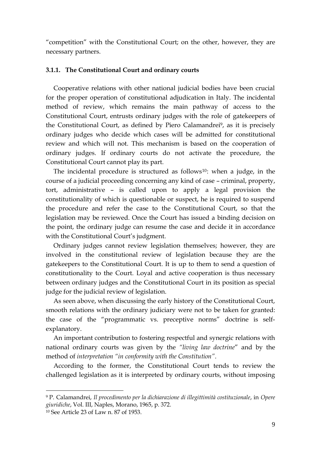"competition" with the Constitutional Court; on the other, however, they are necessary partners.

## **3.1.1. The Constitutional Court and ordinary courts**

Cooperative relations with other national judicial bodies have been crucial for the proper operation of constitutional adjudication in Italy. The incidental method of review, which remains the main pathway of access to the Constitutional Court, entrusts ordinary judges with the role of gatekeepers of the Constitutional Court, as defined by Piero Calamandrei<sup>9</sup>, as it is precisely ordinary judges who decide which cases will be admitted for constitutional review and which will not. This mechanism is based on the cooperation of ordinary judges. If ordinary courts do not activate the procedure, the Constitutional Court cannot play its part.

The incidental procedure is structured as follows<sup>10</sup>: when a judge, in the course of a judicial proceeding concerning any kind of case – criminal, property, tort, administrative – is called upon to apply a legal provision the constitutionality of which is questionable or suspect, he is required to suspend the procedure and refer the case to the Constitutional Court, so that the legislation may be reviewed. Once the Court has issued a binding decision on the point, the ordinary judge can resume the case and decide it in accordance with the Constitutional Court's judgment.

Ordinary judges cannot review legislation themselves; however, they are involved in the constitutional review of legislation because they are the gatekeepers to the Constitutional Court. It is up to them to send a question of constitutionality to the Court. Loyal and active cooperation is thus necessary between ordinary judges and the Constitutional Court in its position as special judge for the judicial review of legislation.

As seen above, when discussing the early history of the Constitutional Court, smooth relations with the ordinary judiciary were not to be taken for granted: the case of the "programmatic vs. preceptive norms" doctrine is selfexplanatory.

An important contribution to fostering respectful and synergic relations with national ordinary courts was given by the *"living law doctrine*" and by the method of *interpretation "in conformity with the Constitution"*.

According to the former, the Constitutional Court tends to review the challenged legislation as it is interpreted by ordinary courts, without imposing

<sup>9</sup> P. Calamandrei, *Il procedimento per la dichiarazione di illegittimità costituzionale*, in *Opere giuridiche*, Vol. III, Naples, Morano, 1965, p. 372. <sup>10</sup> See Article 23 of Law n. 87 of 1953.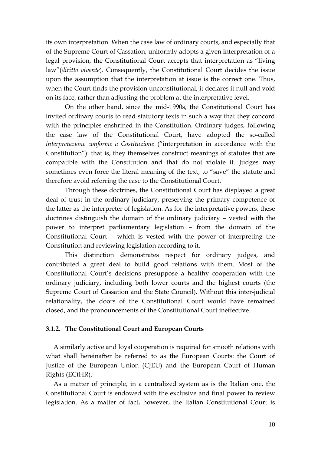its own interpretation. When the case law of ordinary courts, and especially that of the Supreme Court of Cassation, uniformly adopts a given interpretation of a legal provision, the Constitutional Court accepts that interpretation as "living law"(*diritto vivente*). Consequently, the Constitutional Court decides the issue upon the assumption that the interpretation at issue is the correct one. Thus, when the Court finds the provision unconstitutional, it declares it null and void on its face, rather than adjusting the problem at the interpretative level.

On the other hand, since the mid-1990s, the Constitutional Court has invited ordinary courts to read statutory texts in such a way that they concord with the principles enshrined in the Constitution. Ordinary judges, following the case law of the Constitutional Court, have adopted the so-called *interpretazione conforme a Costituzione* ("interpretation in accordance with the Constitution"): that is, they themselves construct meanings of statutes that are compatible with the Constitution and that do not violate it. Judges may sometimes even force the literal meaning of the text, to "save" the statute and therefore avoid referring the case to the Constitutional Court.

Through these doctrines, the Constitutional Court has displayed a great deal of trust in the ordinary judiciary, preserving the primary competence of the latter as the interpreter of legislation. As for the interpretative powers, these doctrines distinguish the domain of the ordinary judiciary – vested with the power to interpret parliamentary legislation – from the domain of the Constitutional Court – which is vested with the power of interpreting the Constitution and reviewing legislation according to it.

This distinction demonstrates respect for ordinary judges, and contributed a great deal to build good relations with them. Most of the Constitutional Court's decisions presuppose a healthy cooperation with the ordinary judiciary, including both lower courts and the highest courts (the Supreme Court of Cassation and the State Council). Without this inter-judicial relationality, the doors of the Constitutional Court would have remained closed, and the pronouncements of the Constitutional Court ineffective.

#### **3.1.2. The Constitutional Court and European Courts**

A similarly active and loyal cooperation is required for smooth relations with what shall hereinafter be referred to as the European Courts: the Court of Justice of the European Union (CJEU) and the European Court of Human Rights (ECtHR).

As a matter of principle, in a centralized system as is the Italian one, the Constitutional Court is endowed with the exclusive and final power to review legislation. As a matter of fact, however, the Italian Constitutional Court is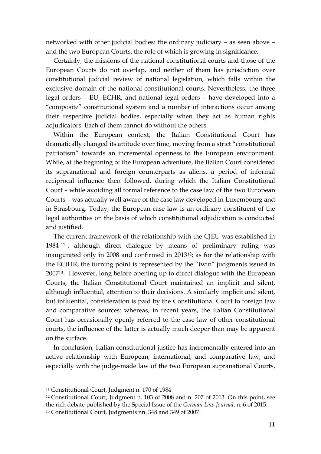networked with other judicial bodies: the ordinary judiciary – as seen above – and the two European Courts, the role of which is growing in significance.

Certainly, the missions of the national constitutional courts and those of the European Courts do not overlap, and neither of them has jurisdiction over constitutional judicial review of national legislation, which falls within the exclusive domain of the national constitutional courts. Nevertheless, the three legal orders – EU, ECHR, and national legal orders – have developed into a "composite" constitutional system and a number of interactions occur among their respective judicial bodies, especially when they act as human rights adjudicators. Each of them cannot do without the others.

Within the European context, the Italian Constitutional Court has dramatically changed its attitude over time, moving from a strict "constitutional patriotism" towards an incremental openness to the European environment. While, at the beginning of the European adventure, the Italian Court considered its supranational and foreign counterparts as aliens, a period of informal reciprocal influence then followed, during which the Italian Constitutional Court – while avoiding all formal reference to the case law of the two European Courts – was actually well aware of the case law developed in Luxembourg and in Strasbourg. Today, the European case law is an ordinary constituent of the legal authorities on the basis of which constitutional adjudication is conducted and justified.

The current framework of the relationship with the CJEU was established in 1984 <sup>11</sup> , although direct dialogue by means of preliminary ruling was inaugurated only in 2008 and confirmed in 201312; as for the relationship with the ECtHR, the turning point is represented by the "twin" judgments issued in 200713. However, long before opening up to direct dialogue with the European Courts, the Italian Constitutional Court maintained an implicit and silent, although influential, attention to their decisions. A similarly implicit and silent, but influential, consideration is paid by the Constitutional Court to foreign law and comparative sources: whereas, in recent years, the Italian Constitutional Court has occasionally openly referred to the case law of other constitutional courts, the influence of the latter is actually much deeper than may be apparent on the surface.

In conclusion, Italian constitutional justice has incrementally entered into an active relationship with European, international, and comparative law, and especially with the judge-made law of the two European supranational Courts,

<sup>11</sup> Constitutional Court, Judgment n. 170 of 1984

<sup>12</sup> Constitutional Court, Judgment n. 103 of 2008 and n. 207 of 2013. On this point, see the rich debate published by the Special Issue of the *German Law Journal*, n. 6 of 2015.

<sup>13</sup> Constitutional Court, Judgments nn. 348 and 349 of 2007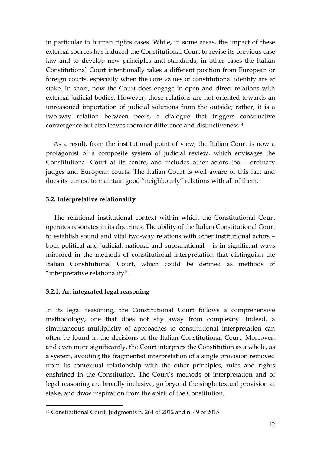in particular in human rights cases. While, in some areas, the impact of these external sources has induced the Constitutional Court to revise its previous case law and to develop new principles and standards, in other cases the Italian Constitutional Court intentionally takes a different position from European or foreign courts, especially when the core values of constitutional identity are at stake. In short, now the Court does engage in open and direct relations with external judicial bodies. However, those relations are not oriented towards an unreasoned importation of judicial solutions from the outside; rather, it is a two-way relation between peers, a dialogue that triggers constructive convergence but also leaves room for difference and distinctiveness14.

As a result, from the institutional point of view, the Italian Court is now a protagonist of a composite system of judicial review, which envisages the Constitutional Court at its centre, and includes other actors too – ordinary judges and European courts. The Italian Court is well aware of this fact and does its utmost to maintain good "neighbourly" relations with all of them.

## **3.2. Interpretative relationality**

The relational institutional context within which the Constitutional Court operates resonates in its doctrines. The ability of the Italian Constitutional Court to establish sound and vital two-way relations with other institutional actors – both political and judicial, national and supranational – is in significant ways mirrored in the methods of constitutional interpretation that distinguish the Italian Constitutional Court, which could be defined as methods of "interpretative relationality".

## **3.2.1. An integrated legal reasoning**

1

In its legal reasoning, the Constitutional Court follows a comprehensive methodology, one that does not shy away from complexity. Indeed, a simultaneous multiplicity of approaches to constitutional interpretation can often be found in the decisions of the Italian Constitutional Court. Moreover, and even more significantly, the Court interprets the Constitution as a whole, as a system, avoiding the fragmented interpretation of a single provision removed from its contextual relationship with the other principles, rules and rights enshrined in the Constitution. The Court's methods of interpretation and of legal reasoning are broadly inclusive, go beyond the single textual provision at stake, and draw inspiration from the spirit of the Constitution.

<sup>14</sup> Constitutional Court, Judgments n. 264 of 2012 and n. 49 of 2015.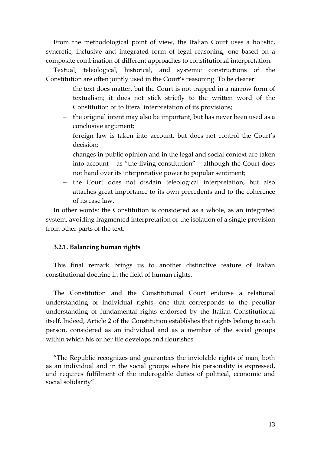From the methodological point of view, the Italian Court uses a holistic, syncretic, inclusive and integrated form of legal reasoning, one based on a composite combination of different approaches to constitutional interpretation.

Textual, teleological, historical, and systemic constructions of the Constitution are often jointly used in the Court's reasoning. To be clearer:

- the text does matter, but the Court is not trapped in a narrow form of textualism; it does not stick strictly to the written word of the Constitution or to literal interpretation of its provisions;
- the original intent may also be important, but has never been used as a conclusive argument;
- foreign law is taken into account, but does not control the Court's decision;
- changes in public opinion and in the legal and social context are taken into account – as "the living constitution" – although the Court does not hand over its interpretative power to popular sentiment;
- the Court does not disdain teleological interpretation, but also attaches great importance to its own precedents and to the coherence of its case law.

In other words: the Constitution is considered as a whole, as an integrated system, avoiding fragmented interpretation or the isolation of a single provision from other parts of the text.

## **3.2.1. Balancing human rights**

This final remark brings us to another distinctive feature of Italian constitutional doctrine in the field of human rights.

The Constitution and the Constitutional Court endorse a relational understanding of individual rights, one that corresponds to the peculiar understanding of fundamental rights endorsed by the Italian Constitutional itself. Indeed, Article 2 of the Constitution establishes that rights belong to each person, considered as an individual and as a member of the social groups within which his or her life develops and flourishes:

"The Republic recognizes and guarantees the inviolable rights of man, both as an individual and in the social groups where his personality is expressed, and requires fulfilment of the inderogable duties of political, economic and social solidarity".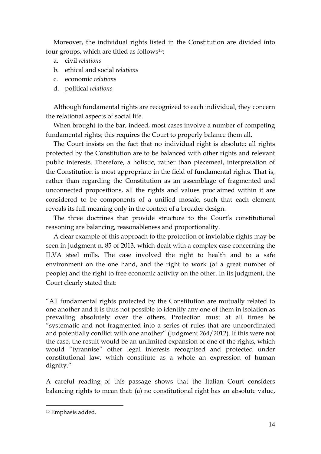Moreover, the individual rights listed in the Constitution are divided into four groups, which are titled as follows15:

- a. civil *relations*
- b. ethical and social *relations*
- c. economic *relations*
- d. political *relations*

Although fundamental rights are recognized to each individual, they concern the relational aspects of social life.

When brought to the bar, indeed, most cases involve a number of competing fundamental rights; this requires the Court to properly balance them all.

The Court insists on the fact that no individual right is absolute; all rights protected by the Constitution are to be balanced with other rights and relevant public interests. Therefore, a holistic, rather than piecemeal, interpretation of the Constitution is most appropriate in the field of fundamental rights. That is, rather than regarding the Constitution as an assemblage of fragmented and unconnected propositions, all the rights and values proclaimed within it are considered to be components of a unified mosaic, such that each element reveals its full meaning only in the context of a broader design.

The three doctrines that provide structure to the Court's constitutional reasoning are balancing, reasonableness and proportionality.

A clear example of this approach to the protection of inviolable rights may be seen in Judgment n. 85 of 2013, which dealt with a complex case concerning the ILVA steel mills. The case involved the right to health and to a safe environment on the one hand, and the right to work (of a great number of people) and the right to free economic activity on the other. In its judgment, the Court clearly stated that:

"All fundamental rights protected by the Constitution are mutually related to one another and it is thus not possible to identify any one of them in isolation as prevailing absolutely over the others. Protection must at all times be "systematic and not fragmented into a series of rules that are uncoordinated and potentially conflict with one another" (Judgment 264/2012). If this were not the case, the result would be an unlimited expansion of one of the rights, which would "tyrannise" other legal interests recognised and protected under constitutional law, which constitute as a whole an expression of human dignity."

A careful reading of this passage shows that the Italian Court considers balancing rights to mean that: (a) no constitutional right has an absolute value,

<sup>15</sup> Emphasis added.